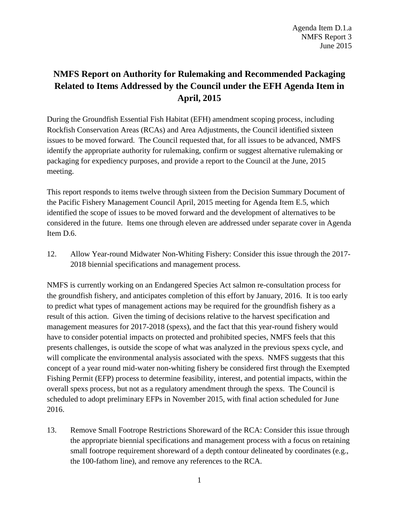## **NMFS Report on Authority for Rulemaking and Recommended Packaging Related to Items Addressed by the Council under the EFH Agenda Item in April, 2015**

During the Groundfish Essential Fish Habitat (EFH) amendment scoping process, including Rockfish Conservation Areas (RCAs) and Area Adjustments, the Council identified sixteen issues to be moved forward. The Council requested that, for all issues to be advanced, NMFS identify the appropriate authority for rulemaking, confirm or suggest alternative rulemaking or packaging for expediency purposes, and provide a report to the Council at the June, 2015 meeting.

This report responds to items twelve through sixteen from the Decision Summary Document of the Pacific Fishery Management Council April, 2015 meeting for Agenda Item E.5, which identified the scope of issues to be moved forward and the development of alternatives to be considered in the future. Items one through eleven are addressed under separate cover in Agenda Item D.6.

12. Allow Year-round Midwater Non-Whiting Fishery: Consider this issue through the 2017- 2018 biennial specifications and management process.

NMFS is currently working on an Endangered Species Act salmon re-consultation process for the groundfish fishery, and anticipates completion of this effort by January, 2016. It is too early to predict what types of management actions may be required for the groundfish fishery as a result of this action. Given the timing of decisions relative to the harvest specification and management measures for 2017-2018 (spexs), and the fact that this year-round fishery would have to consider potential impacts on protected and prohibited species, NMFS feels that this presents challenges, is outside the scope of what was analyzed in the previous spexs cycle, and will complicate the environmental analysis associated with the spexs. NMFS suggests that this concept of a year round mid-water non-whiting fishery be considered first through the Exempted Fishing Permit (EFP) process to determine feasibility, interest, and potential impacts, within the overall spexs process, but not as a regulatory amendment through the spexs. The Council is scheduled to adopt preliminary EFPs in November 2015, with final action scheduled for June 2016.

13. Remove Small Footrope Restrictions Shoreward of the RCA: Consider this issue through the appropriate biennial specifications and management process with a focus on retaining small footrope requirement shoreward of a depth contour delineated by coordinates (e.g., the 100-fathom line), and remove any references to the RCA.